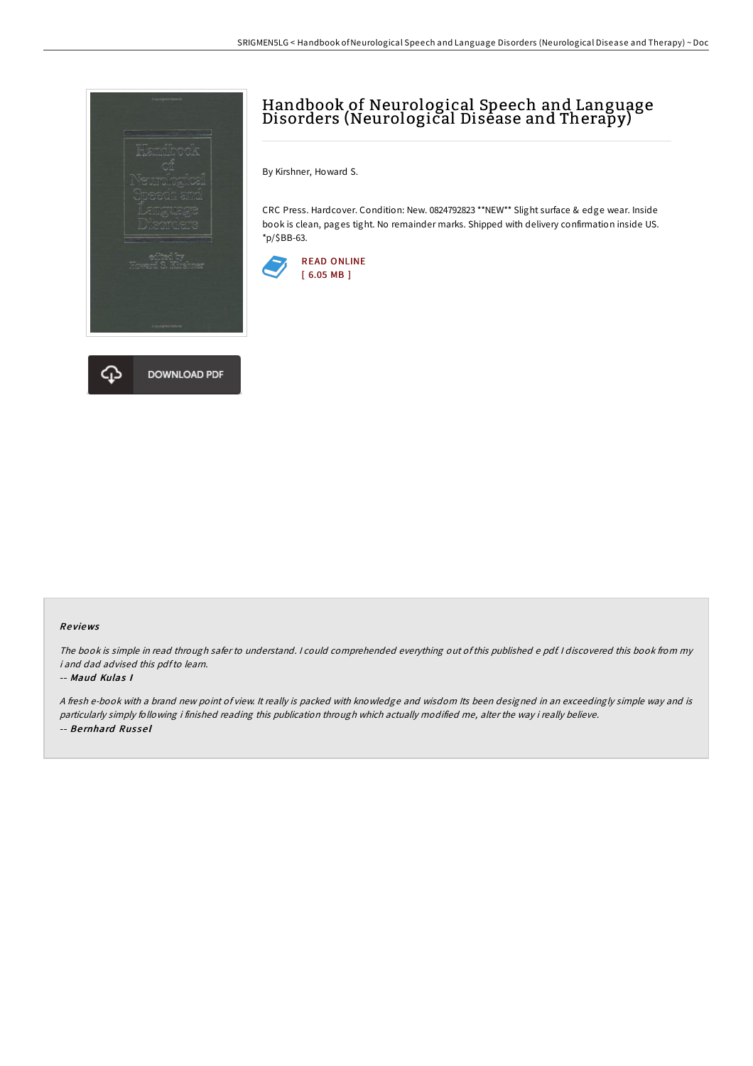



## Handbook of Neurological Speech and Language Disorders (Neurological Disease and Therapy)

By Kirshner, Howard S.

CRC Press. Hardcover. Condition: New. 0824792823 \*\*NEW\*\* Slight surface & edge wear. Inside book is clean, pages tight. No remainder marks. Shipped with delivery confirmation inside US. \*p/\$BB-63.



## Re views

The book is simple in read through safer to understand. <sup>I</sup> could comprehended everything out of this published <sup>e</sup> pdf. <sup>I</sup> discovered this book from my i and dad advised this pdfto learn.

## -- Maud Kulas I

<sup>A</sup> fresh e-book with <sup>a</sup> brand new point of view. It really is packed with knowledge and wisdom Its been designed in an exceedingly simple way and is particularly simply following i finished reading this publication through which actually modified me, alter the way i really believe. -- Be rnhard Rus se l